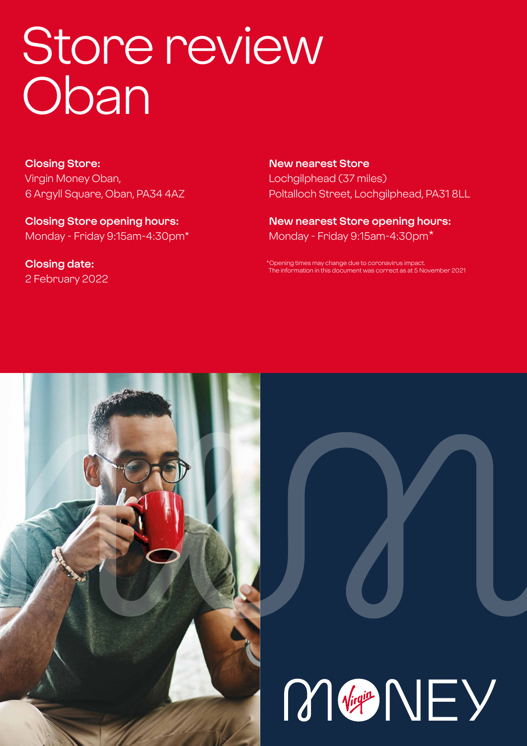# Store review **Oban**

**Closing Store:** Virgin Money Oban, 6 Argyll Square, Oban, PA34 4AZ

**Closing Store opening hours:**  Monday - Friday 9:15am-4:30pm\*

**Closing date:**  2 February 2022 **New nearest Store** Lochgilphead (37 miles) Poltalloch Street, Lochgilphead, PA31 8LL

**New nearest Store opening hours:** Monday - Friday 9:15am-4:30pm\*

ening times may change due to coronavirus impact The information in this document was correct as at 5 November 2021



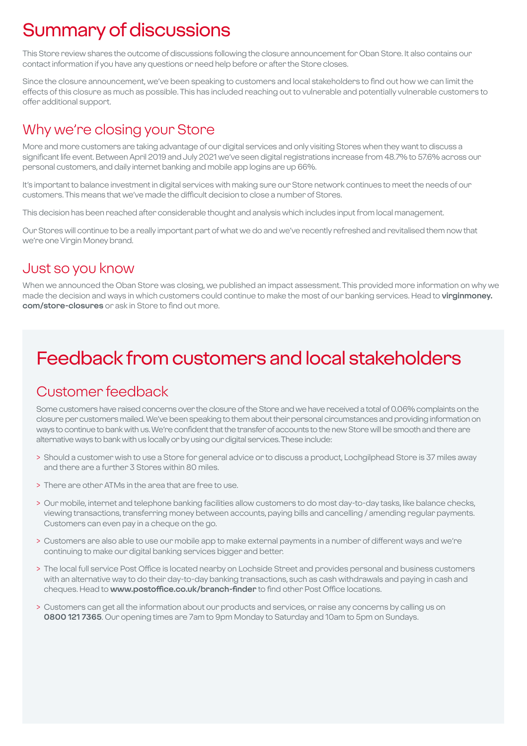# Summary of discussions

This Store review shares the outcome of discussions following the closure announcement for Oban Store. It also contains our contact information if you have any questions or need help before or after the Store closes.

Since the closure announcement, we've been speaking to customers and local stakeholders to find out how we can limit the effects of this closure as much as possible. This has included reaching out to vulnerable and potentially vulnerable customers to offer additional support.

### Why we're closing your Store

More and more customers are taking advantage of our digital services and only visiting Stores when they want to discuss a significant life event. Between April 2019 and July 2021 we've seen digital registrations increase from 48.7% to 57.6% across our personal customers, and daily internet banking and mobile app logins are up 66%.

It's important to balance investment in digital services with making sure our Store network continues to meet the needs of our customers. This means that we've made the difficult decision to close a number of Stores.

This decision has been reached after considerable thought and analysis which includes input from local management.

Our Stores will continue to be a really important part of what we do and we've recently refreshed and revitalised them now that we're one Virgin Money brand.

### Just so you know

When we announced the Oban Store was closing, we published an impact assessment. This provided more information on why we made the decision and ways in which customers could continue to make the most of our banking services. Head to **virginmoney. com/store-closures** or ask in Store to find out more.

# Feedback from customers and local stakeholders

### Customer feedback

Some customers have raised concerns over the closure of the Store and we have received a total of 0.06% complaints on the closure per customers mailed. We've been speaking to them about their personal circumstances and providing information on ways to continue to bank with us. We're confident that the transfer of accounts to the new Store will be smooth and there are alternative ways to bank with us locally or by using our digital services. These include:

- > Should a customer wish to use a Store for general advice or to discuss a product, Lochgilphead Store is 37 miles away and there are a further 3 Stores within 80 miles.
- > There are other ATMs in the area that are free to use.
- > Our mobile, internet and telephone banking facilities allow customers to do most day-to-day tasks, like balance checks, viewing transactions, transferring money between accounts, paying bills and cancelling / amending regular payments. Customers can even pay in a cheque on the go.
- > Customers are also able to use our mobile app to make external payments in a number of different ways and we're continuing to make our digital banking services bigger and better.
- > The local full service Post Office is located nearby on Lochside Street and provides personal and business customers with an alternative way to do their day-to-day banking transactions, such as cash withdrawals and paying in cash and cheques. Head to **www.postoffice.co.uk/branch-finder** to find other Post Office locations.
- > Customers can get all the information about our products and services, or raise any concerns by calling us on **0800 121 7365**. Our opening times are 7am to 9pm Monday to Saturday and 10am to 5pm on Sundays.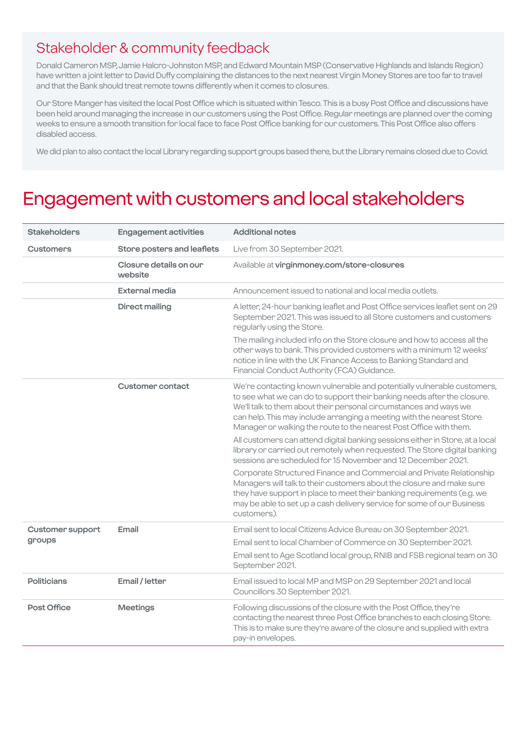### Stakeholder & community feedback

Donald Cameron MSP, Jamie Halcro-Johnston MSP, and Edward Mountain MSP (Conservative Highlands and Islands Region) have written a joint letter to David Duffy complaining the distances to the next nearest Virgin Money Stores are too far to travel and that the Bank should treat remote towns differently when it comes to closures.

Our Store Manger has visited the local Post Office which is situated within Tesco. This is a busy Post Office and discussions have been held around managing the increase in our customers using the Post Office. Regular meetings are planned over the coming weeks to ensure a smooth transition for local face to face Post Office banking for our customers. This Post Office also offers disabled access.

We did plan to also contact the local Library regarding support groups based there, but the Library remains closed due to Covid.

# Engagement with customers and local stakeholders

| <b>Stakeholders</b>        | <b>Engagement activities</b>      | <b>Additional notes</b>                                                                                                                                                                                                                                                                                                                                                |
|----------------------------|-----------------------------------|------------------------------------------------------------------------------------------------------------------------------------------------------------------------------------------------------------------------------------------------------------------------------------------------------------------------------------------------------------------------|
| <b>Customers</b>           | Store posters and leaflets        | Live from 30 September 2021.                                                                                                                                                                                                                                                                                                                                           |
|                            | Closure details on our<br>website | Available at virginmoney.com/store-closures                                                                                                                                                                                                                                                                                                                            |
|                            | <b>External media</b>             | Announcement issued to national and local media outlets.                                                                                                                                                                                                                                                                                                               |
|                            | <b>Direct mailing</b>             | A letter, 24-hour banking leaflet and Post Office services leaflet sent on 29<br>September 2021. This was issued to all Store customers and customers<br>regularly using the Store.                                                                                                                                                                                    |
|                            |                                   | The mailing included info on the Store closure and how to access all the<br>other ways to bank. This provided customers with a minimum 12 weeks'<br>notice in line with the UK Finance Access to Banking Standard and<br>Financial Conduct Authority (FCA) Guidance.                                                                                                   |
|                            | Customer contact                  | We're contacting known vulnerable and potentially vulnerable customers,<br>to see what we can do to support their banking needs after the closure.<br>We'll talk to them about their personal circumstances and ways we<br>can help. This may include arranging a meeting with the nearest Store<br>Manager or walking the route to the nearest Post Office with them. |
|                            |                                   | All customers can attend digital banking sessions either in Store, at a local<br>library or carried out remotely when requested. The Store digital banking<br>sessions are scheduled for 15 November and 12 December 2021.                                                                                                                                             |
|                            |                                   | Corporate Structured Finance and Commercial and Private Relationship<br>Managers will talk to their customers about the closure and make sure<br>they have support in place to meet their banking requirements (e.g. we<br>may be able to set up a cash delivery service for some of our Business<br>customers).                                                       |
| Customer support<br>groups | Email                             | Email sent to local Citizens Advice Bureau on 30 September 2021.                                                                                                                                                                                                                                                                                                       |
|                            |                                   | Email sent to local Chamber of Commerce on 30 September 2021.                                                                                                                                                                                                                                                                                                          |
|                            |                                   | Email sent to Age Scotland local group, RNIB and FSB regional team on 30<br>September 2021.                                                                                                                                                                                                                                                                            |
| <b>Politicians</b>         | Email / letter                    | Email issued to local MP and MSP on 29 September 2021 and local<br>Councillors 30 September 2021.                                                                                                                                                                                                                                                                      |
| Post Office                | <b>Meetings</b>                   | Following discussions of the closure with the Post Office, they're<br>contacting the nearest three Post Office branches to each closing Store.<br>This is to make sure they're aware of the closure and supplied with extra<br>pay-in envelopes.                                                                                                                       |